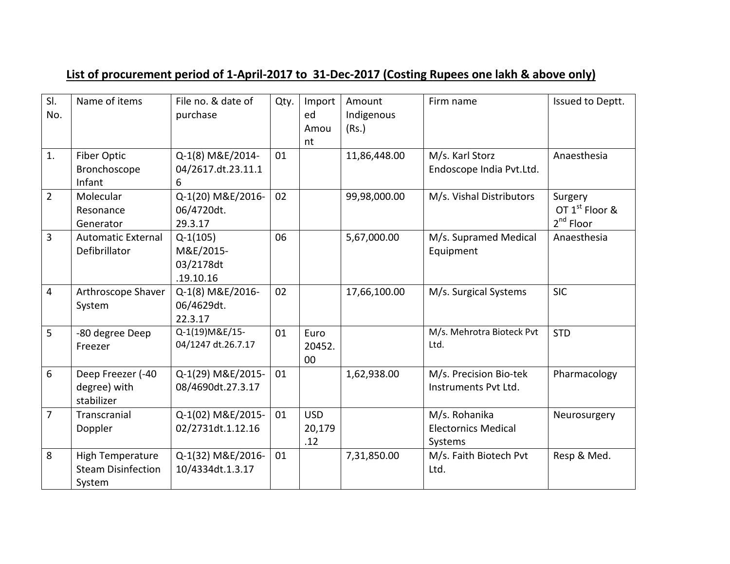## **List of procurement period of 1-April-2017 to 31-Dec-2017 (Costing Rupees one lakh & above only)**

| SI.<br>No.     | Name of items                                                  | File no. & date of<br>purchase                    | Qty. | Import<br>ed<br>Amou<br>nt  | Amount<br>Indigenous<br>(Rs.) | Firm name                                              | Issued to Deptt.                                        |
|----------------|----------------------------------------------------------------|---------------------------------------------------|------|-----------------------------|-------------------------------|--------------------------------------------------------|---------------------------------------------------------|
| 1.             | Fiber Optic<br>Bronchoscope<br>Infant                          | Q-1(8) M&E/2014-<br>04/2617.dt.23.11.1<br>6       | 01   |                             | 11,86,448.00                  | M/s. Karl Storz<br>Endoscope India Pvt.Ltd.            | Anaesthesia                                             |
| $\overline{2}$ | Molecular<br>Resonance<br>Generator                            | Q-1(20) M&E/2016-<br>06/4720dt.<br>29.3.17        | 02   |                             | 99,98,000.00                  | M/s. Vishal Distributors                               | Surgery<br>OT 1 <sup>st</sup> Floor &<br>$2^{nd}$ Floor |
| $\overline{3}$ | <b>Automatic External</b><br>Defibrillator                     | $Q-1(105)$<br>M&E/2015-<br>03/2178dt<br>.19.10.16 | 06   |                             | 5,67,000.00                   | M/s. Supramed Medical<br>Equipment                     | Anaesthesia                                             |
| $\overline{4}$ | Arthroscope Shaver<br>System                                   | Q-1(8) M&E/2016-<br>06/4629dt.<br>22.3.17         | 02   |                             | 17,66,100.00                  | M/s. Surgical Systems                                  | <b>SIC</b>                                              |
| 5              | -80 degree Deep<br>Freezer                                     | Q-1(19) M&E/15-<br>04/1247 dt.26.7.17             | 01   | Euro<br>20452.<br>00        |                               | M/s. Mehrotra Bioteck Pvt<br>Ltd.                      | <b>STD</b>                                              |
| 6              | Deep Freezer (-40<br>degree) with<br>stabilizer                | Q-1(29) M&E/2015-<br>08/4690dt.27.3.17            | 01   |                             | 1,62,938.00                   | M/s. Precision Bio-tek<br>Instruments Pvt Ltd.         | Pharmacology                                            |
| $\overline{7}$ | Transcranial<br>Doppler                                        | Q-1(02) M&E/2015-<br>02/2731dt.1.12.16            | 01   | <b>USD</b><br>20,179<br>.12 |                               | M/s. Rohanika<br><b>Electornics Medical</b><br>Systems | Neurosurgery                                            |
| 8              | <b>High Temperature</b><br><b>Steam Disinfection</b><br>System | Q-1(32) M&E/2016-<br>10/4334dt.1.3.17             | 01   |                             | 7,31,850.00                   | M/s. Faith Biotech Pvt<br>Ltd.                         | Resp & Med.                                             |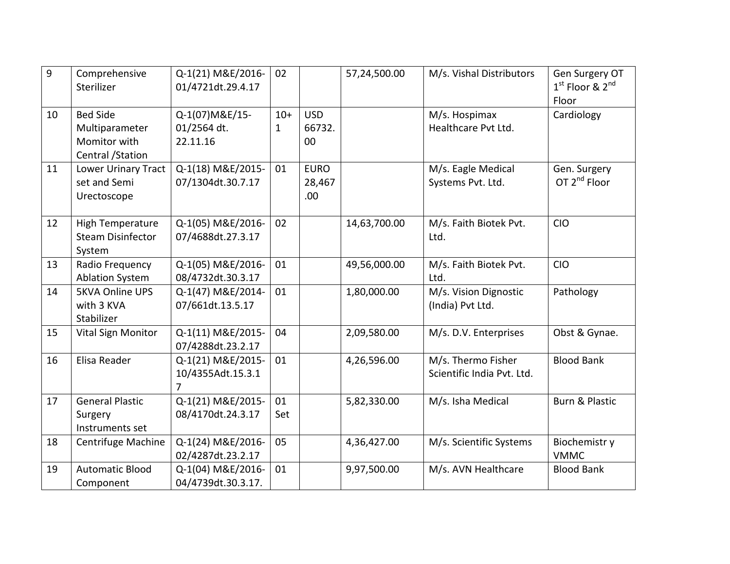| $\overline{9}$ | Comprehensive<br>Sterilizer                                            | Q-1(21) M&E/2016-<br>01/4721dt.29.4.17                   | 02                    |                              | 57,24,500.00 | M/s. Vishal Distributors                         | Gen Surgery OT<br>$1st$ Floor & $2nd$<br>Floor |
|----------------|------------------------------------------------------------------------|----------------------------------------------------------|-----------------------|------------------------------|--------------|--------------------------------------------------|------------------------------------------------|
| 10             | <b>Bed Side</b><br>Multiparameter<br>Momitor with<br>Central / Station | Q-1(07) M&E/15-<br>01/2564 dt.<br>22.11.16               | $10+$<br>$\mathbf{1}$ | <b>USD</b><br>66732.<br>00   |              | M/s. Hospimax<br>Healthcare Pvt Ltd.             | Cardiology                                     |
| 11             | Lower Urinary Tract<br>set and Semi<br>Urectoscope                     | Q-1(18) M&E/2015-<br>07/1304dt.30.7.17                   | 01                    | <b>EURO</b><br>28,467<br>.00 |              | M/s. Eagle Medical<br>Systems Pvt. Ltd.          | Gen. Surgery<br>OT 2 <sup>nd</sup> Floor       |
| 12             | <b>High Temperature</b><br><b>Steam Disinfector</b><br>System          | Q-1(05) M&E/2016-<br>07/4688dt.27.3.17                   | 02                    |                              | 14,63,700.00 | M/s. Faith Biotek Pvt.<br>Ltd.                   | <b>CIO</b>                                     |
| 13             | Radio Frequency<br><b>Ablation System</b>                              | Q-1(05) M&E/2016-<br>08/4732dt.30.3.17                   | 01                    |                              | 49,56,000.00 | M/s. Faith Biotek Pvt.<br>Ltd.                   | <b>CIO</b>                                     |
| 14             | <b>5KVA Online UPS</b><br>with 3 KVA<br>Stabilizer                     | Q-1(47) M&E/2014-<br>07/661dt.13.5.17                    | 01                    |                              | 1,80,000.00  | M/s. Vision Dignostic<br>(India) Pvt Ltd.        | Pathology                                      |
| 15             | <b>Vital Sign Monitor</b>                                              | Q-1(11) M&E/2015-<br>07/4288dt.23.2.17                   | 04                    |                              | 2,09,580.00  | M/s. D.V. Enterprises                            | Obst & Gynae.                                  |
| 16             | Elisa Reader                                                           | Q-1(21) M&E/2015-<br>10/4355Adt.15.3.1<br>$\overline{7}$ | 01                    |                              | 4,26,596.00  | M/s. Thermo Fisher<br>Scientific India Pvt. Ltd. | <b>Blood Bank</b>                              |
| 17             | <b>General Plastic</b><br>Surgery<br>Instruments set                   | Q-1(21) M&E/2015-<br>08/4170dt.24.3.17                   | 01<br>Set             |                              | 5,82,330.00  | M/s. Isha Medical                                | <b>Burn &amp; Plastic</b>                      |
| 18             | <b>Centrifuge Machine</b>                                              | Q-1(24) M&E/2016-<br>02/4287dt.23.2.17                   | 05                    |                              | 4,36,427.00  | M/s. Scientific Systems                          | Biochemistr y<br><b>VMMC</b>                   |
| 19             | <b>Automatic Blood</b><br>Component                                    | Q-1(04) M&E/2016-<br>04/4739dt.30.3.17.                  | 01                    |                              | 9,97,500.00  | M/s. AVN Healthcare                              | <b>Blood Bank</b>                              |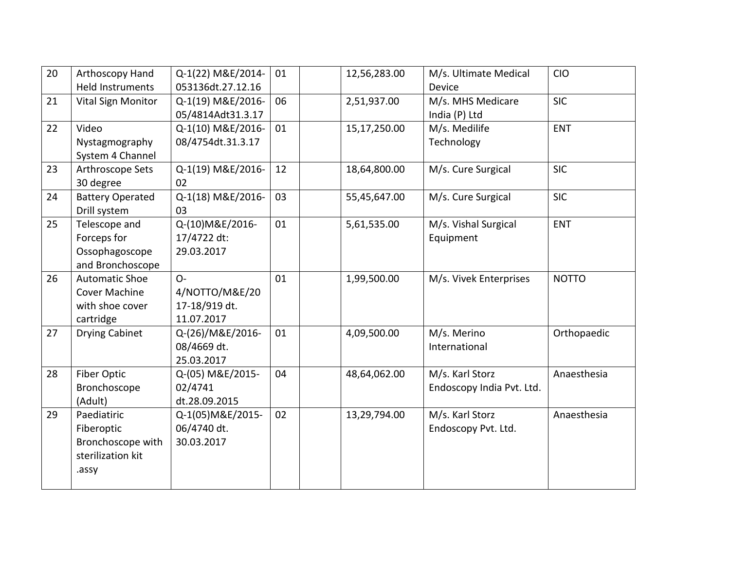| 20 | Arthoscopy Hand<br><b>Held Instruments</b>                                    | Q-1(22) M&E/2014-<br>053136dt.27.12.16                 | 01 | 12,56,283.00 | M/s. Ultimate Medical<br>Device              | <b>CIO</b>   |
|----|-------------------------------------------------------------------------------|--------------------------------------------------------|----|--------------|----------------------------------------------|--------------|
| 21 | <b>Vital Sign Monitor</b>                                                     | Q-1(19) M&E/2016-<br>05/4814Adt31.3.17                 | 06 | 2,51,937.00  | M/s. MHS Medicare<br>India (P) Ltd           | <b>SIC</b>   |
| 22 | Video<br>Nystagmography<br>System 4 Channel                                   | Q-1(10) M&E/2016-<br>08/4754dt.31.3.17                 | 01 | 15,17,250.00 | M/s. Medilife<br>Technology                  | <b>ENT</b>   |
| 23 | Arthroscope Sets<br>30 degree                                                 | Q-1(19) M&E/2016-<br>02                                | 12 | 18,64,800.00 | M/s. Cure Surgical                           | <b>SIC</b>   |
| 24 | <b>Battery Operated</b><br>Drill system                                       | Q-1(18) M&E/2016-<br>03                                | 03 | 55,45,647.00 | M/s. Cure Surgical                           | <b>SIC</b>   |
| 25 | Telescope and<br>Forceps for<br>Ossophagoscope<br>and Bronchoscope            | Q-(10) M&E/2016-<br>17/4722 dt:<br>29.03.2017          | 01 | 5,61,535.00  | M/s. Vishal Surgical<br>Equipment            | <b>ENT</b>   |
| 26 | <b>Automatic Shoe</b><br><b>Cover Machine</b><br>with shoe cover<br>cartridge | $O -$<br>4/NOTTO/M&E/20<br>17-18/919 dt.<br>11.07.2017 | 01 | 1,99,500.00  | M/s. Vivek Enterprises                       | <b>NOTTO</b> |
| 27 | <b>Drying Cabinet</b>                                                         | Q-(26)/M&E/2016-<br>08/4669 dt.<br>25.03.2017          | 01 | 4,09,500.00  | M/s. Merino<br>International                 | Orthopaedic  |
| 28 | Fiber Optic<br>Bronchoscope<br>(Adult)                                        | Q-(05) M&E/2015-<br>02/4741<br>dt.28.09.2015           | 04 | 48,64,062.00 | M/s. Karl Storz<br>Endoscopy India Pvt. Ltd. | Anaesthesia  |
| 29 | Paediatiric<br>Fiberoptic<br>Bronchoscope with<br>sterilization kit<br>.assy  | Q-1(05) M&E/2015-<br>06/4740 dt.<br>30.03.2017         | 02 | 13,29,794.00 | M/s. Karl Storz<br>Endoscopy Pvt. Ltd.       | Anaesthesia  |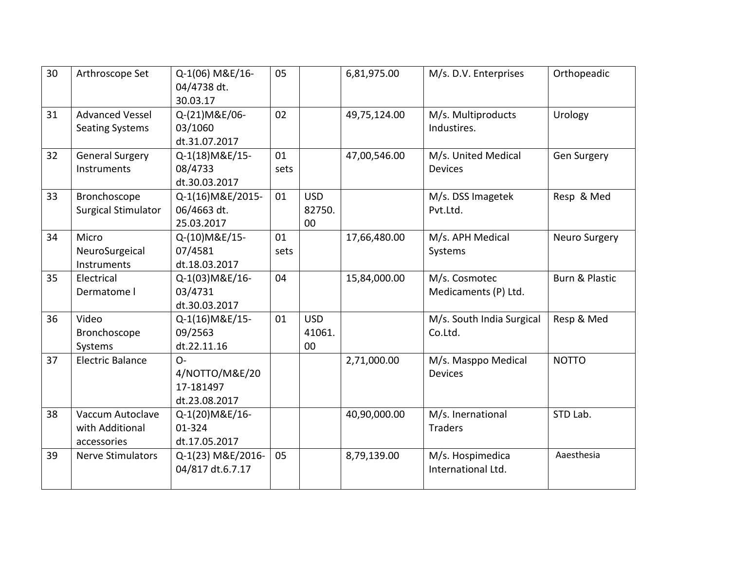| 30 | Arthroscope Set                                    | Q-1(06) M&E/16-<br>04/4738 dt.<br>30.03.17            | 05         |                            | 6,81,975.00  | M/s. D.V. Enterprises                  | Orthopeadic               |
|----|----------------------------------------------------|-------------------------------------------------------|------------|----------------------------|--------------|----------------------------------------|---------------------------|
| 31 | <b>Advanced Vessel</b><br><b>Seating Systems</b>   | Q-(21)M&E/06-<br>03/1060<br>dt.31.07.2017             | 02         |                            | 49,75,124.00 | M/s. Multiproducts<br>Industires.      | Urology                   |
| 32 | <b>General Surgery</b><br>Instruments              | Q-1(18) M&E/15-<br>08/4733<br>dt.30.03.2017           | 01<br>sets |                            | 47,00,546.00 | M/s. United Medical<br><b>Devices</b>  | <b>Gen Surgery</b>        |
| 33 | Bronchoscope<br><b>Surgical Stimulator</b>         | Q-1(16) M&E/2015-<br>06/4663 dt.<br>25.03.2017        | 01         | <b>USD</b><br>82750.<br>00 |              | M/s. DSS Imagetek<br>Pvt.Ltd.          | Resp & Med                |
| 34 | Micro<br>NeuroSurgeical<br>Instruments             | Q-(10) M&E/15-<br>07/4581<br>dt.18.03.2017            | 01<br>sets |                            | 17,66,480.00 | M/s. APH Medical<br>Systems            | <b>Neuro Surgery</b>      |
| 35 | Electrical<br>Dermatome I                          | Q-1(03) M&E/16-<br>03/4731<br>dt.30.03.2017           | 04         |                            | 15,84,000.00 | M/s. Cosmotec<br>Medicaments (P) Ltd.  | <b>Burn &amp; Plastic</b> |
| 36 | Video<br>Bronchoscope<br>Systems                   | Q-1(16) M&E/15-<br>09/2563<br>dt.22.11.16             | 01         | <b>USD</b><br>41061.<br>00 |              | M/s. South India Surgical<br>Co.Ltd.   | Resp & Med                |
| 37 | <b>Electric Balance</b>                            | $O -$<br>4/NOTTO/M&E/20<br>17-181497<br>dt.23.08.2017 |            |                            | 2,71,000.00  | M/s. Masppo Medical<br><b>Devices</b>  | <b>NOTTO</b>              |
| 38 | Vaccum Autoclave<br>with Additional<br>accessories | Q-1(20) M&E/16-<br>01-324<br>dt.17.05.2017            |            |                            | 40,90,000.00 | M/s. Inernational<br><b>Traders</b>    | STD Lab.                  |
| 39 | <b>Nerve Stimulators</b>                           | Q-1(23) M&E/2016-<br>04/817 dt.6.7.17                 | 05         |                            | 8,79,139.00  | M/s. Hospimedica<br>International Ltd. | Aaesthesia                |